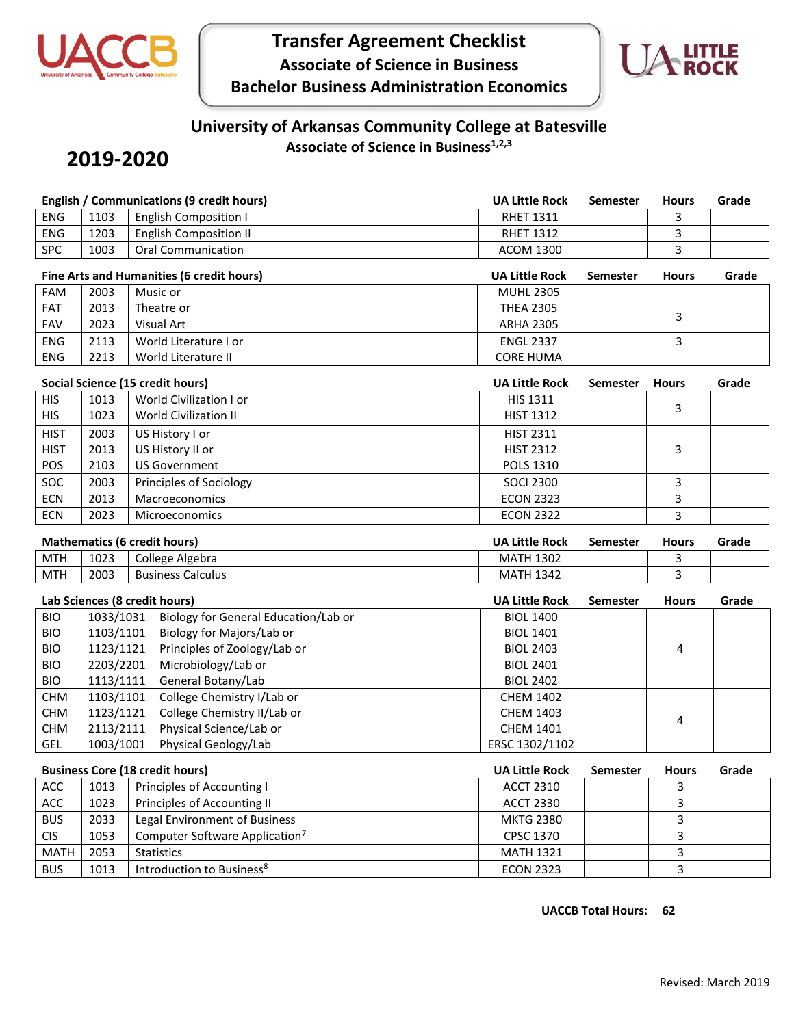

# **Transfer Agreement Checklist Associate of Science in Business Bachelor Business Administration Economics**



### **University of Arkansas Community College at Batesville Associate of Science in Business1,2,3**

## **2019-2020**

| <b>English / Communications (9 credit hours)</b> |                                         |                                            | <b>UA Little Rock</b> | <b>Semester</b> | <b>Hours</b> | Grade |
|--------------------------------------------------|-----------------------------------------|--------------------------------------------|-----------------------|-----------------|--------------|-------|
| <b>ENG</b>                                       | 1103                                    | <b>English Composition I</b>               | <b>RHET 1311</b>      |                 | 3            |       |
| <b>ENG</b>                                       | 1203                                    | <b>English Composition II</b>              | <b>RHET 1312</b>      |                 | 3            |       |
| <b>SPC</b>                                       | 1003                                    | <b>Oral Communication</b>                  | <b>ACOM 1300</b>      |                 | 3            |       |
|                                                  |                                         | Fine Arts and Humanities (6 credit hours)  | <b>UA Little Rock</b> | <b>Semester</b> | <b>Hours</b> | Grade |
| <b>FAM</b>                                       | 2003                                    | Music or                                   | <b>MUHL 2305</b>      |                 |              |       |
| FAT                                              | 2013                                    | Theatre or                                 | <b>THEA 2305</b>      |                 | 3            |       |
| FAV                                              | 2023                                    | <b>Visual Art</b>                          | <b>ARHA 2305</b>      |                 |              |       |
| <b>ENG</b>                                       | 2113                                    | World Literature I or                      | <b>ENGL 2337</b>      |                 | 3            |       |
| <b>ENG</b>                                       | 2213                                    | World Literature II                        | <b>CORE HUMA</b>      |                 |              |       |
|                                                  |                                         | Social Science (15 credit hours)           | <b>UA Little Rock</b> | Semester        | <b>Hours</b> | Grade |
| <b>HIS</b>                                       | 1013                                    | World Civilization I or                    | HIS 1311              |                 |              |       |
| <b>HIS</b>                                       | 1023                                    | <b>World Civilization II</b>               | <b>HIST 1312</b>      |                 | 3            |       |
| <b>HIST</b>                                      | 2003                                    | US History I or                            | <b>HIST 2311</b>      |                 |              |       |
| <b>HIST</b>                                      | 2013                                    | US History II or                           | <b>HIST 2312</b>      |                 | 3            |       |
| POS                                              | 2103                                    | <b>US Government</b>                       | <b>POLS 1310</b>      |                 |              |       |
| SOC                                              | 2003                                    | Principles of Sociology                    | <b>SOCI 2300</b>      |                 | 3            |       |
| <b>ECN</b>                                       | 2013                                    | Macroeconomics                             | <b>ECON 2323</b>      |                 | 3            |       |
| <b>ECN</b>                                       | 2023                                    | Microeconomics                             | <b>ECON 2322</b>      |                 | 3            |       |
|                                                  |                                         |                                            |                       |                 |              |       |
| <b>Mathematics (6 credit hours)</b>              |                                         |                                            | <b>UA Little Rock</b> | <b>Semester</b> | <b>Hours</b> | Grade |
| <b>MTH</b>                                       | 1023                                    | College Algebra                            | <b>MATH 1302</b>      |                 | 3            |       |
| <b>MTH</b>                                       | 2003                                    | <b>Business Calculus</b>                   | <b>MATH 1342</b>      |                 | 3            |       |
| Lab Sciences (8 credit hours)                    |                                         |                                            | <b>UA Little Rock</b> | <b>Semester</b> | <b>Hours</b> | Grade |
| <b>BIO</b>                                       | 1033/1031                               | Biology for General Education/Lab or       | <b>BIOL 1400</b>      |                 |              |       |
| <b>BIO</b>                                       | 1103/1101                               | Biology for Majors/Lab or                  | <b>BIOL 1401</b>      |                 |              |       |
| <b>BIO</b>                                       | 1123/1121                               | Principles of Zoology/Lab or               | <b>BIOL 2403</b>      |                 | 4            |       |
| <b>BIO</b>                                       | 2203/2201                               | Microbiology/Lab or                        | <b>BIOL 2401</b>      |                 |              |       |
| <b>BIO</b>                                       | 1113/1111<br>General Botany/Lab         |                                            | <b>BIOL 2402</b>      |                 |              |       |
| <b>CHM</b>                                       | 1103/1101<br>College Chemistry I/Lab or |                                            | <b>CHEM 1402</b>      |                 |              |       |
| <b>CHM</b>                                       | 1123/1121                               | College Chemistry II/Lab or                | <b>CHEM 1403</b>      |                 | 4            |       |
| <b>CHM</b>                                       | 2113/2111                               | Physical Science/Lab or                    | <b>CHEM 1401</b>      |                 |              |       |
| <b>GEL</b>                                       | 1003/1001                               | Physical Geology/Lab                       | ERSC 1302/1102        |                 |              |       |
| <b>Business Core (18 credit hours)</b>           |                                         |                                            | <b>UA Little Rock</b> | <b>Semester</b> | <b>Hours</b> | Grade |
| ACC                                              | 1013                                    | Principles of Accounting I                 | <b>ACCT 2310</b>      |                 | 3            |       |
| ACC                                              | 1023                                    | Principles of Accounting II                | <b>ACCT 2330</b>      |                 | 3            |       |
| <b>BUS</b>                                       | 2033                                    | Legal Environment of Business              | <b>MKTG 2380</b>      |                 | $\mathbf{3}$ |       |
| <b>CIS</b>                                       | 1053                                    | Computer Software Application <sup>7</sup> | CPSC 1370             |                 | $\mathbf{3}$ |       |
| <b>MATH</b>                                      | 2053                                    | <b>Statistics</b>                          | <b>MATH 1321</b>      |                 | $\mathbf{3}$ |       |
| <b>BUS</b>                                       | 1013                                    | Introduction to Business <sup>8</sup>      | <b>ECON 2323</b>      |                 | 3            |       |

#### **UACCB Total Hours: 62**